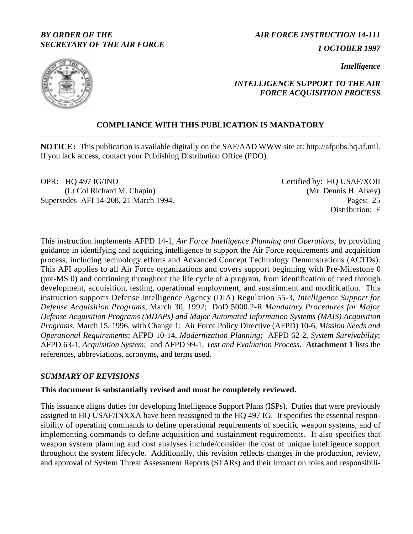## *BY ORDER OF THE SECRETARY OF THE AIR FORCE*

*AIR FORCE INSTRUCTION 14-111 1 OCTOBER 1997*

*Intelligence*



# *INTELLIGENCE SUPPORT TO THE AIR FORCE ACQUISITION PROCESS*

# **COMPLIANCE WITH THIS PUBLICATION IS MANDATORY**

**NOTICE:** This publication is available digitally on the SAF/AAD WWW site at: http://afpubs.hq.af.mil. If you lack access, contact your Publishing Distribution Office (PDO).

OPR: HQ 497 IG/INO (Lt Col Richard M. Chapin) Supersedes AFI 14-208, 21 March 1994. Pages: 25

Certified by: HQ USAF/XOII (Mr. Dennis H. Alvey) Distribution: F

This instruction implements AFPD 14-1, *Air Force Intelligence Planning and Operations*, by providing guidance in identifying and acquiring intelligence to support the Air Force requirements and acquisition process, including technology efforts and Advanced Concept Technology Demonstrations (ACTDs). This AFI applies to all Air Force organizations and covers support beginning with Pre-Milestone 0 (pre-MS 0) and continuing throughout the life cycle of a program, from identification of need through development, acquisition, testing, operational employment, and sustainment and modification. This instruction supports Defense Intelligence Agency (DIA) Regulation 55-3, *Intelligence Support for Defense Acquisition Programs*, March 30, 1992; DoD 5000.2-R *Mandatory Procedures for Major Defense Acquisition Programs (MDAPs) and Major Automated Information Systems (MAIS) Acquisition Programs,* March 15, 1996, with Change 1; Air Force Policy Directive (AFPD) 10-6, *Mission Needs and Operational Requirements*; AFPD 10-14, *Modernization Planning;* AFPD 62-2, *System Survivability*; AFPD 63-1, *Acquisition System*; and AFPD 99-1, *Test and Evaluation Process*. **[Attachment 1](#page-17-0)** lists the references, abbreviations, acronyms, and terms used.

## *SUMMARY OF REVISIONS*

## **This document is substantially revised and must be completely reviewed.**

This issuance aligns duties for developing Intelligence Support Plans (ISPs). Duties that were previously assigned to HQ USAF/INXXA have been reassigned to the HQ 497 IG. It specifies the essential responsibility of operating commands to define operational requirements of specific weapon systems, and of implementing commands to define acquisition and sustainment requirements. It also specifies that weapon system planning and cost analyses include/consider the cost of unique intelligence support throughout the system lifecycle. Additionally, this revision reflects changes in the production, review, and approval of System Threat Assessment Reports (STARs) and their impact on roles and responsibili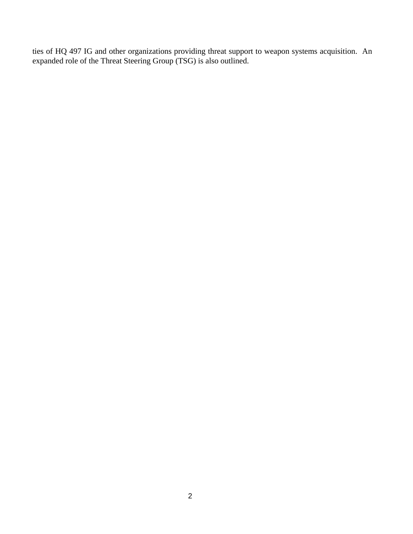ties of HQ 497 IG and other organizations providing threat support to weapon systems acquisition. An expanded role of the Threat Steering Group (TSG) is also outlined.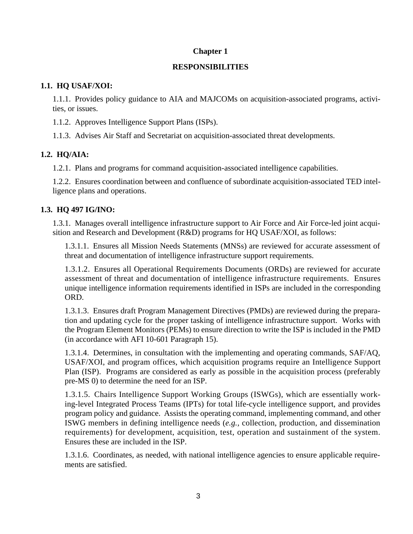## **Chapter 1**

## **RESPONSIBILITIES**

## **1.1. HQ USAF/XOI:**

1.1.1. Provides policy guidance to AIA and MAJCOMs on acquisition-associated programs, activities, or issues.

1.1.2. Approves Intelligence Support Plans (ISPs).

1.1.3. Advises Air Staff and Secretariat on acquisition-associated threat developments.

# **1.2. HQ/AIA:**

1.2.1. Plans and programs for command acquisition-associated intelligence capabilities.

1.2.2. Ensures coordination between and confluence of subordinate acquisition-associated TED intelligence plans and operations.

# **1.3. HQ 497 IG/INO:**

1.3.1. Manages overall intelligence infrastructure support to Air Force and Air Force-led joint acquisition and Research and Development (R&D) programs for HQ USAF/XOI, as follows:

1.3.1.1. Ensures all Mission Needs Statements (MNSs) are reviewed for accurate assessment of threat and documentation of intelligence infrastructure support requirements.

1.3.1.2. Ensures all Operational Requirements Documents (ORDs) are reviewed for accurate assessment of threat and documentation of intelligence infrastructure requirements. Ensures unique intelligence information requirements identified in ISPs are included in the corresponding ORD.

1.3.1.3. Ensures draft Program Management Directives (PMDs) are reviewed during the preparation and updating cycle for the proper tasking of intelligence infrastructure support. Works with the Program Element Monitors (PEMs) to ensure direction to write the ISP is included in the PMD (in accordance with AFI 10-601 Paragraph 15).

1.3.1.4. Determines, in consultation with the implementing and operating commands, SAF/AQ, USAF/XOI, and program offices, which acquisition programs require an Intelligence Support Plan (ISP). Programs are considered as early as possible in the acquisition process (preferably pre-MS 0) to determine the need for an ISP.

1.3.1.5. Chairs Intelligence Support Working Groups (ISWGs), which are essentially working-level Integrated Process Teams (IPTs) for total life-cycle intelligence support, and provides program policy and guidance. Assists the operating command, implementing command, and other ISWG members in defining intelligence needs (*e.g.,* collection, production, and dissemination requirements) for development, acquisition, test, operation and sustainment of the system. Ensures these are included in the ISP.

1.3.1.6. Coordinates, as needed, with national intelligence agencies to ensure applicable requirements are satisfied.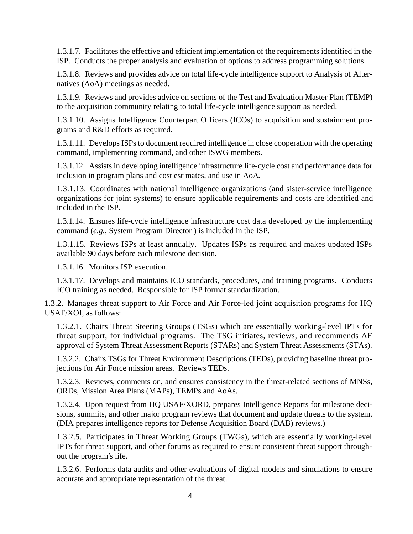1.3.1.7. Facilitates the effective and efficient implementation of the requirements identified in the ISP. Conducts the proper analysis and evaluation of options to address programming solutions.

1.3.1.8. Reviews and provides advice on total life-cycle intelligence support to Analysis of Alternatives (AoA) meetings as needed.

1.3.1.9. Reviews and provides advice on sections of the Test and Evaluation Master Plan (TEMP) to the acquisition community relating to total life-cycle intelligence support as needed.

1.3.1.10. Assigns Intelligence Counterpart Officers (ICOs) to acquisition and sustainment programs and R&D efforts as required.

1.3.1.11. Develops ISPs to document required intelligence in close cooperation with the operating command, implementing command, and other ISWG members.

1.3.1.12. Assists in developing intelligence infrastructure life-cycle cost and performance data for inclusion in program plans and cost estimates, and use in AoA*.*

1.3.1.13. Coordinates with national intelligence organizations (and sister-service intelligence organizations for joint systems) to ensure applicable requirements and costs are identified and included in the ISP.

1.3.1.14. Ensures life-cycle intelligence infrastructure cost data developed by the implementing command (*e.g.,* System Program Director ) is included in the ISP.

1.3.1.15. Reviews ISPs at least annually. Updates ISPs as required and makes updated ISPs available 90 days before each milestone decision.

1.3.1.16. Monitors ISP execution.

1.3.1.17. Develops and maintains ICO standards, procedures, and training programs. Conducts ICO training as needed. Responsible for ISP format standardization.

1.3.2. Manages threat support to Air Force and Air Force-led joint acquisition programs for HQ USAF/XOI, as follows:

1.3.2.1. Chairs Threat Steering Groups (TSGs) which are essentially working-level IPTs for threat support, for individual programs. The TSG initiates, reviews, and recommends AF approval of System Threat Assessment Reports (STARs) and System Threat Assessments (STAs).

1.3.2.2. Chairs TSGs for Threat Environment Descriptions (TEDs), providing baseline threat projections for Air Force mission areas. Reviews TEDs.

1.3.2.3. Reviews, comments on, and ensures consistency in the threat-related sections of MNSs, ORDs, Mission Area Plans (MAPs), TEMPs and AoAs.

1.3.2.4. Upon request from HQ USAF/XORD, prepares Intelligence Reports for milestone decisions, summits, and other major program reviews that document and update threats to the system. (DIA prepares intelligence reports for Defense Acquisition Board (DAB) reviews.)

1.3.2.5. Participates in Threat Working Groups (TWGs), which are essentially working-level IPTs for threat support, and other forums as required to ensure consistent threat support throughout the program's life.

1.3.2.6. Performs data audits and other evaluations of digital models and simulations to ensure accurate and appropriate representation of the threat.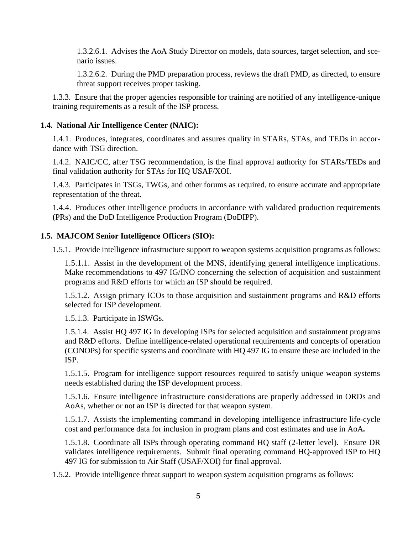1.3.2.6.1. Advises the AoA Study Director on models, data sources, target selection, and scenario issues.

1.3.2.6.2. During the PMD preparation process, reviews the draft PMD, as directed, to ensure threat support receives proper tasking.

1.3.3. Ensure that the proper agencies responsible for training are notified of any intelligence-unique training requirements as a result of the ISP process.

### **1.4. National Air Intelligence Center (NAIC):**

1.4.1. Produces, integrates, coordinates and assures quality in STARs, STAs, and TEDs in accordance with TSG direction.

1.4.2. NAIC/CC, after TSG recommendation, is the final approval authority for STARs/TEDs and final validation authority for STAs for HQ USAF/XOI.

1.4.3. Participates in TSGs, TWGs, and other forums as required, to ensure accurate and appropriate representation of the threat.

1.4.4. Produces other intelligence products in accordance with validated production requirements (PRs) and the DoD Intelligence Production Program (DoDIPP).

### **1.5. MAJCOM Senior Intelligence Officers (SIO):**

1.5.1. Provide intelligence infrastructure support to weapon systems acquisition programs as follows:

1.5.1.1. Assist in the development of the MNS, identifying general intelligence implications. Make recommendations to 497 IG/INO concerning the selection of acquisition and sustainment programs and R&D efforts for which an ISP should be required.

1.5.1.2. Assign primary ICOs to those acquisition and sustainment programs and R&D efforts selected for ISP development.

1.5.1.3. Participate in ISWGs.

1.5.1.4. Assist HQ 497 IG in developing ISPs for selected acquisition and sustainment programs and R&D efforts. Define intelligence-related operational requirements and concepts of operation (CONOPs) for specific systems and coordinate with HQ 497 IG to ensure these are included in the ISP.

1.5.1.5. Program for intelligence support resources required to satisfy unique weapon systems needs established during the ISP development process.

1.5.1.6. Ensure intelligence infrastructure considerations are properly addressed in ORDs and AoAs, whether or not an ISP is directed for that weapon system.

1.5.1.7. Assists the implementing command in developing intelligence infrastructure life-cycle cost and performance data for inclusion in program plans and cost estimates and use in AoA*.*

1.5.1.8. Coordinate all ISPs through operating command HQ staff (2-letter level). Ensure DR validates intelligence requirements. Submit final operating command HQ-approved ISP to HQ 497 IG for submission to Air Staff (USAF/XOI) for final approval.

1.5.2. Provide intelligence threat support to weapon system acquisition programs as follows: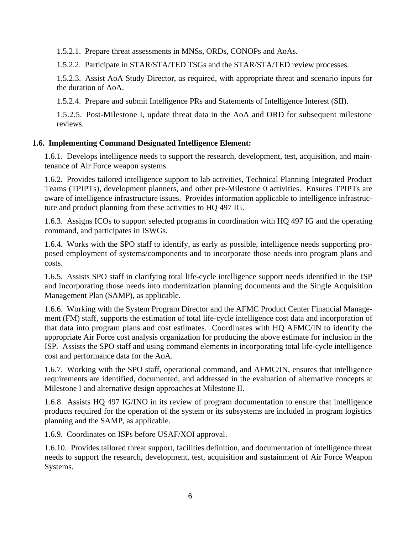1.5.2.1. Prepare threat assessments in MNSs, ORDs, CONOPs and AoAs.

1.5.2.2. Participate in STAR/STA/TED TSGs and the STAR/STA/TED review processes.

1.5.2.3. Assist AoA Study Director, as required, with appropriate threat and scenario inputs for the duration of AoA.

1.5.2.4. Prepare and submit Intelligence PRs and Statements of Intelligence Interest (SII).

1.5.2.5. Post-Milestone I, update threat data in the AoA and ORD for subsequent milestone reviews.

# **1.6. Implementing Command Designated Intelligence Element:**

1.6.1. Develops intelligence needs to support the research, development, test, acquisition, and maintenance of Air Force weapon systems.

1.6.2. Provides tailored intelligence support to lab activities, Technical Planning Integrated Product Teams (TPIPTs), development planners, and other pre-Milestone 0 activities. Ensures TPIPTs are aware of intelligence infrastructure issues. Provides information applicable to intelligence infrastructure and product planning from these activities to HQ 497 IG.

1.6.3. Assigns ICOs to support selected programs in coordination with HQ 497 IG and the operating command, and participates in ISWGs.

1.6.4. Works with the SPO staff to identify, as early as possible, intelligence needs supporting proposed employment of systems/components and to incorporate those needs into program plans and costs.

1.6.5. Assists SPO staff in clarifying total life-cycle intelligence support needs identified in the ISP and incorporating those needs into modernization planning documents and the Single Acquisition Management Plan (SAMP), as applicable.

1.6.6. Working with the System Program Director and the AFMC Product Center Financial Management (FM) staff, supports the estimation of total life-cycle intelligence cost data and incorporation of that data into program plans and cost estimates. Coordinates with HQ AFMC/IN to identify the appropriate Air Force cost analysis organization for producing the above estimate for inclusion in the ISP. Assists the SPO staff and using command elements in incorporating total life-cycle intelligence cost and performance data for the AoA.

1.6.7. Working with the SPO staff, operational command, and AFMC/IN, ensures that intelligence requirements are identified, documented, and addressed in the evaluation of alternative concepts at Milestone I and alternative design approaches at Milestone II.

1.6.8. Assists HQ 497 IG/INO in its review of program documentation to ensure that intelligence products required for the operation of the system or its subsystems are included in program logistics planning and the SAMP, as applicable.

1.6.9. Coordinates on ISPs before USAF/XOI approval.

1.6.10. Provides tailored threat support, facilities definition, and documentation of intelligence threat needs to support the research, development, test, acquisition and sustainment of Air Force Weapon Systems.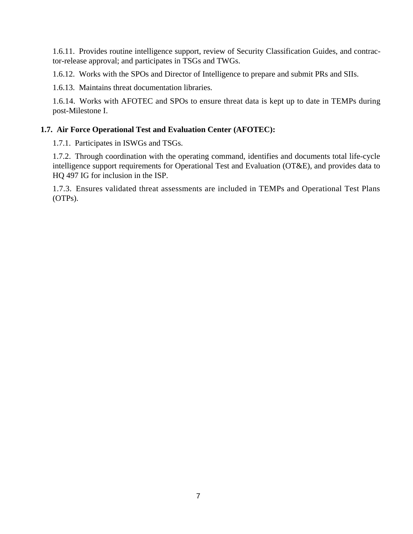1.6.11. Provides routine intelligence support, review of Security Classification Guides, and contractor-release approval; and participates in TSGs and TWGs.

1.6.12. Works with the SPOs and Director of Intelligence to prepare and submit PRs and SIIs.

1.6.13. Maintains threat documentation libraries.

1.6.14. Works with AFOTEC and SPOs to ensure threat data is kept up to date in TEMPs during post-Milestone I.

### **1.7. Air Force Operational Test and Evaluation Center (AFOTEC):**

1.7.1. Participates in ISWGs and TSGs.

1.7.2. Through coordination with the operating command, identifies and documents total life-cycle intelligence support requirements for Operational Test and Evaluation (OT&E), and provides data to HQ 497 IG for inclusion in the ISP.

1.7.3. Ensures validated threat assessments are included in TEMPs and Operational Test Plans (OTPs).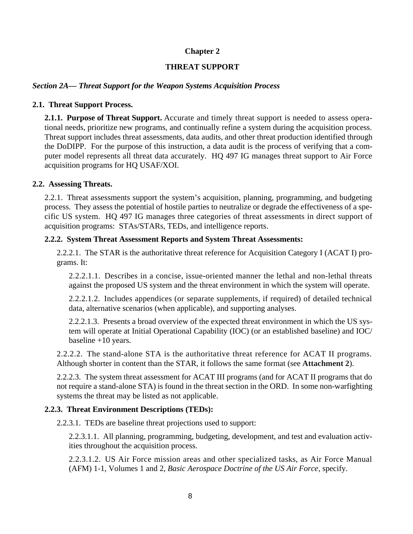### **Chapter 2**

### **THREAT SUPPORT**

### *Section 2A— Threat Support for the Weapon Systems Acquisition Process*

### **2.1. Threat Support Process.**

**2.1.1. Purpose of Threat Support.** Accurate and timely threat support is needed to assess operational needs, prioritize new programs, and continually refine a system during the acquisition process. Threat support includes threat assessments, data audits, and other threat production identified through the DoDIPP. For the purpose of this instruction, a data audit is the process of verifying that a computer model represents all threat data accurately. HQ 497 IG manages threat support to Air Force acquisition programs for HQ USAF/XOI.

#### **2.2. Assessing Threats.**

2.2.1. Threat assessments support the system's acquisition, planning, programming, and budgeting process. They assess the potential of hostile parties to neutralize or degrade the effectiveness of a specific US system. HQ 497 IG manages three categories of threat assessments in direct support of acquisition programs: STAs/STARs, TEDs, and intelligence reports.

#### **2.2.2. System Threat Assessment Reports and System Threat Assessments:**

2.2.2.1. The STAR is the authoritative threat reference for Acquisition Category I (ACAT I) programs. It:

2.2.2.1.1. Describes in a concise, issue-oriented manner the lethal and non-lethal threats against the proposed US system and the threat environment in which the system will operate.

2.2.2.1.2. Includes appendices (or separate supplements, if required) of detailed technical data, alternative scenarios (when applicable), and supporting analyses.

2.2.2.1.3. Presents a broad overview of the expected threat environment in which the US system will operate at Initial Operational Capability (IOC) (or an established baseline) and IOC/ baseline +10 years.

2.2.2.2. The stand-alone STA is the authoritative threat reference for ACAT II programs. Although shorter in content than the STAR, it follows the same format (see **[Attachment 2](#page-21-0)**).

2.2.2.3. The system threat assessment for ACAT III programs (and for ACAT II programs that do not require a stand-alone STA) is found in the threat section in the ORD. In some non-warfighting systems the threat may be listed as not applicable.

### **2.2.3. Threat Environment Descriptions (TEDs):**

2.2.3.1. TEDs are baseline threat projections used to support:

2.2.3.1.1. All planning, programming, budgeting, development, and test and evaluation activities throughout the acquisition process.

2.2.3.1.2. US Air Force mission areas and other specialized tasks, as Air Force Manual (AFM) 1-1, Volumes 1 and 2, *Basic Aerospace Doctrine of the US Air Force*, specify.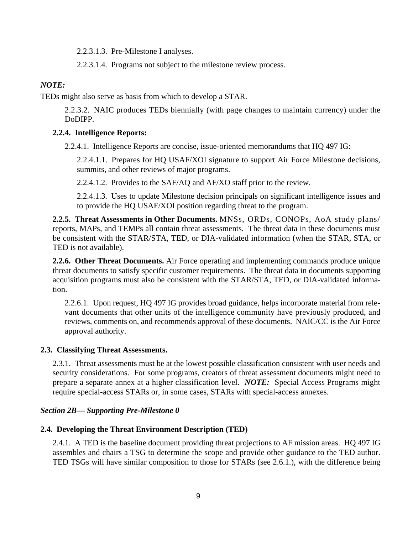2.2.3.1.3. Pre-Milestone I analyses.

2.2.3.1.4. Programs not subject to the milestone review process.

## *NOTE:*

TEDs might also serve as basis from which to develop a STAR.

2.2.3.2. NAIC produces TEDs biennially (with page changes to maintain currency) under the DoDIPP.

## **2.2.4. Intelligence Reports:**

2.2.4.1. Intelligence Reports are concise, issue-oriented memorandums that HQ 497 IG:

2.2.4.1.1. Prepares for HQ USAF/XOI signature to support Air Force Milestone decisions, summits, and other reviews of major programs.

2.2.4.1.2. Provides to the SAF/AQ and AF/XO staff prior to the review.

2.2.4.1.3. Uses to update Milestone decision principals on significant intelligence issues and to provide the HQ USAF/XOI position regarding threat to the program.

**2.2.5. Threat Assessments in Other Documents.** MNSs, ORDs, CONOPs, AoA study plans/ reports, MAPs, and TEMPs all contain threat assessments. The threat data in these documents must be consistent with the STAR/STA, TED, or DIA-validated information (when the STAR, STA, or TED is not available).

**2.2.6. Other Threat Documents.** Air Force operating and implementing commands produce unique threat documents to satisfy specific customer requirements. The threat data in documents supporting acquisition programs must also be consistent with the STAR/STA, TED, or DIA-validated information.

2.2.6.1. Upon request, HQ 497 IG provides broad guidance, helps incorporate material from relevant documents that other units of the intelligence community have previously produced, and reviews, comments on, and recommends approval of these documents. NAIC/CC is the Air Force approval authority.

## **2.3. Classifying Threat Assessments.**

2.3.1. Threat assessments must be at the lowest possible classification consistent with user needs and security considerations. For some programs, creators of threat assessment documents might need to prepare a separate annex at a higher classification level. *NOTE:* Special Access Programs might require special-access STARs or, in some cases, STARs with special-access annexes.

## *Section 2B— Supporting Pre-Milestone 0*

## **2.4. Developing the Threat Environment Description (TED)**

2.4.1. A TED is the baseline document providing threat projections to AF mission areas. HQ 497 IG assembles and chairs a TSG to determine the scope and provide other guidance to the TED author. TED TSGs will have similar composition to those for STARs (see 2.6.1.), with the difference being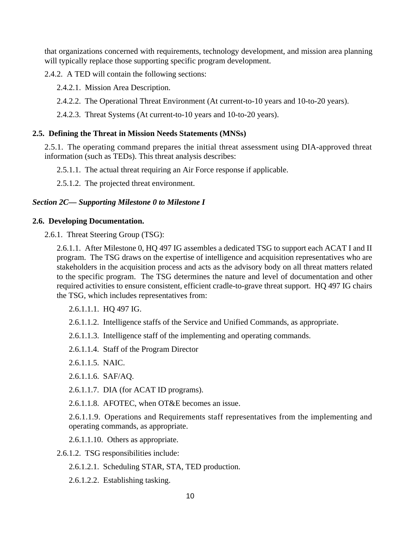that organizations concerned with requirements, technology development, and mission area planning will typically replace those supporting specific program development.

2.4.2. A TED will contain the following sections:

2.4.2.1. Mission Area Description.

2.4.2.2. The Operational Threat Environment (At current-to-10 years and 10-to-20 years).

2.4.2.3. Threat Systems (At current-to-10 years and 10-to-20 years).

#### **2.5. Defining the Threat in Mission Needs Statements (MNSs)**

2.5.1. The operating command prepares the initial threat assessment using DIA-approved threat information (such as TEDs). This threat analysis describes:

2.5.1.1. The actual threat requiring an Air Force response if applicable.

2.5.1.2. The projected threat environment.

#### *Section 2C— Supporting Milestone 0 to Milestone I*

#### **2.6. Developing Documentation.**

2.6.1. Threat Steering Group (TSG):

2.6.1.1. After Milestone 0, HQ 497 IG assembles a dedicated TSG to support each ACAT I and II program. The TSG draws on the expertise of intelligence and acquisition representatives who are stakeholders in the acquisition process and acts as the advisory body on all threat matters related to the specific program. The TSG determines the nature and level of documentation and other required activities to ensure consistent, efficient cradle-to-grave threat support. HQ 497 IG chairs the TSG, which includes representatives from:

2.6.1.1.1. HQ 497 IG.

- 2.6.1.1.2. Intelligence staffs of the Service and Unified Commands, as appropriate.
- 2.6.1.1.3. Intelligence staff of the implementing and operating commands.
- 2.6.1.1.4. Staff of the Program Director
- 2.6.1.1.5. NAIC.
- 2.6.1.1.6. SAF/AQ.
- 2.6.1.1.7. DIA (for ACAT ID programs).
- 2.6.1.1.8. AFOTEC, when OT&E becomes an issue.

2.6.1.1.9. Operations and Requirements staff representatives from the implementing and operating commands, as appropriate.

2.6.1.1.10. Others as appropriate.

2.6.1.2. TSG responsibilities include:

- 2.6.1.2.1. Scheduling STAR, STA, TED production.
- 2.6.1.2.2. Establishing tasking.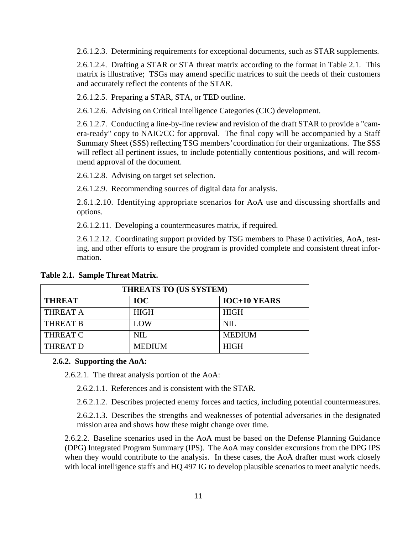2.6.1.2.3. Determining requirements for exceptional documents, such as STAR supplements.

2.6.1.2.4. Drafting a STAR or STA threat matrix according to the format in Table 2.1. This matrix is illustrative; TSGs may amend specific matrices to suit the needs of their customers and accurately reflect the contents of the STAR.

2.6.1.2.5. Preparing a STAR, STA, or TED outline.

2.6.1.2.6. Advising on Critical Intelligence Categories (CIC) development.

2.6.1.2.7. Conducting a line-by-line review and revision of the draft STAR to provide a "camera-ready" copy to NAIC/CC for approval. The final copy will be accompanied by a Staff Summary Sheet (SSS) reflecting TSG members' coordination for their organizations. The SSS will reflect all pertinent issues, to include potentially contentious positions, and will recommend approval of the document.

2.6.1.2.8. Advising on target set selection.

2.6.1.2.9. Recommending sources of digital data for analysis.

2.6.1.2.10. Identifying appropriate scenarios for AoA use and discussing shortfalls and options.

2.6.1.2.11. Developing a countermeasures matrix, if required.

2.6.1.2.12. Coordinating support provided by TSG members to Phase 0 activities, AoA, testing, and other efforts to ensure the program is provided complete and consistent threat information.

| THREATS TO (US SYSTEM) |               |                     |
|------------------------|---------------|---------------------|
| <b>THREAT</b>          | <b>IOC</b>    | <b>IOC+10 YEARS</b> |
| <b>THREAT A</b>        | <b>HIGH</b>   | <b>HIGH</b>         |
| <b>THREAT B</b>        | LOW           | NIL.                |
| <b>THREAT C</b>        | NIL.          | <b>MEDIUM</b>       |
| <b>THREAT D</b>        | <b>MEDIUM</b> | <b>HIGH</b>         |

**Table 2.1. Sample Threat Matrix.**

#### **2.6.2. Supporting the AoA:**

2.6.2.1. The threat analysis portion of the AoA:

2.6.2.1.1. References and is consistent with the STAR.

2.6.2.1.2. Describes projected enemy forces and tactics, including potential countermeasures.

2.6.2.1.3. Describes the strengths and weaknesses of potential adversaries in the designated mission area and shows how these might change over time.

2.6.2.2. Baseline scenarios used in the AoA must be based on the Defense Planning Guidance (DPG) Integrated Program Summary (IPS). The AoA may consider excursions from the DPG IPS when they would contribute to the analysis. In these cases, the AoA drafter must work closely with local intelligence staffs and HQ 497 IG to develop plausible scenarios to meet analytic needs.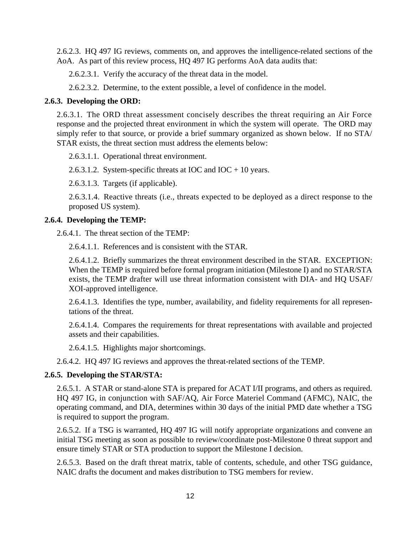2.6.2.3. HQ 497 IG reviews, comments on, and approves the intelligence-related sections of the AoA. As part of this review process, HQ 497 IG performs AoA data audits that:

2.6.2.3.1. Verify the accuracy of the threat data in the model.

2.6.2.3.2. Determine, to the extent possible, a level of confidence in the model.

### **2.6.3. Developing the ORD:**

2.6.3.1. The ORD threat assessment concisely describes the threat requiring an Air Force response and the projected threat environment in which the system will operate. The ORD may simply refer to that source, or provide a brief summary organized as shown below. If no STA/ STAR exists, the threat section must address the elements below:

2.6.3.1.1. Operational threat environment.

2.6.3.1.2. System-specific threats at IOC and IOC  $+ 10$  years.

2.6.3.1.3. Targets (if applicable).

2.6.3.1.4. Reactive threats (i.e., threats expected to be deployed as a direct response to the proposed US system).

### **2.6.4. Developing the TEMP:**

2.6.4.1. The threat section of the TEMP:

2.6.4.1.1. References and is consistent with the STAR.

2.6.4.1.2. Briefly summarizes the threat environment described in the STAR. EXCEPTION: When the TEMP is required before formal program initiation (Milestone I) and no STAR/STA exists, the TEMP drafter will use threat information consistent with DIA- and HQ USAF/ XOI-approved intelligence.

2.6.4.1.3. Identifies the type, number, availability, and fidelity requirements for all representations of the threat.

2.6.4.1.4. Compares the requirements for threat representations with available and projected assets and their capabilities.

2.6.4.1.5. Highlights major shortcomings.

2.6.4.2. HQ 497 IG reviews and approves the threat-related sections of the TEMP.

## **2.6.5. Developing the STAR/STA:**

2.6.5.1. A STAR or stand-alone STA is prepared for ACAT I/II programs, and others as required. HQ 497 IG, in conjunction with SAF/AQ, Air Force Materiel Command (AFMC), NAIC, the operating command, and DIA, determines within 30 days of the initial PMD date whether a TSG is required to support the program.

2.6.5.2. If a TSG is warranted, HQ 497 IG will notify appropriate organizations and convene an initial TSG meeting as soon as possible to review/coordinate post-Milestone 0 threat support and ensure timely STAR or STA production to support the Milestone I decision.

2.6.5.3. Based on the draft threat matrix, table of contents, schedule, and other TSG guidance, NAIC drafts the document and makes distribution to TSG members for review.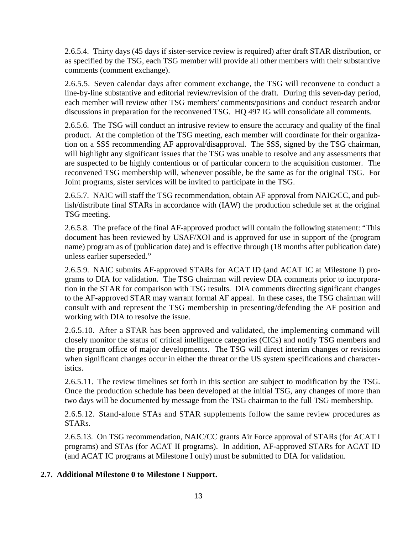2.6.5.4. Thirty days (45 days if sister-service review is required) after draft STAR distribution, or as specified by the TSG, each TSG member will provide all other members with their substantive comments (comment exchange).

2.6.5.5. Seven calendar days after comment exchange, the TSG will reconvene to conduct a line-by-line substantive and editorial review/revision of the draft. During this seven-day period, each member will review other TSG members' comments/positions and conduct research and/or discussions in preparation for the reconvened TSG. HQ 497 IG will consolidate all comments.

2.6.5.6. The TSG will conduct an intrusive review to ensure the accuracy and quality of the final product. At the completion of the TSG meeting, each member will coordinate for their organization on a SSS recommending AF approval/disapproval. The SSS, signed by the TSG chairman, will highlight any significant issues that the TSG was unable to resolve and any assessments that are suspected to be highly contentious or of particular concern to the acquisition customer. The reconvened TSG membership will, whenever possible, be the same as for the original TSG. For Joint programs, sister services will be invited to participate in the TSG.

2.6.5.7. NAIC will staff the TSG recommendation, obtain AF approval from NAIC/CC, and publish/distribute final STARs in accordance with (IAW) the production schedule set at the original TSG meeting.

2.6.5.8. The preface of the final AF-approved product will contain the following statement: "This document has been reviewed by USAF/XOI and is approved for use in support of the (program name) program as of (publication date) and is effective through (18 months after publication date) unless earlier superseded."

2.6.5.9. NAIC submits AF-approved STARs for ACAT ID (and ACAT IC at Milestone I) programs to DIA for validation. The TSG chairman will review DIA comments prior to incorporation in the STAR for comparison with TSG results. DIA comments directing significant changes to the AF-approved STAR may warrant formal AF appeal. In these cases, the TSG chairman will consult with and represent the TSG membership in presenting/defending the AF position and working with DIA to resolve the issue.

2.6.5.10. After a STAR has been approved and validated, the implementing command will closely monitor the status of critical intelligence categories (CICs) and notify TSG members and the program office of major developments. The TSG will direct interim changes or revisions when significant changes occur in either the threat or the US system specifications and characteristics.

2.6.5.11. The review timelines set forth in this section are subject to modification by the TSG. Once the production schedule has been developed at the initial TSG, any changes of more than two days will be documented by message from the TSG chairman to the full TSG membership.

2.6.5.12. Stand-alone STAs and STAR supplements follow the same review procedures as STARs.

2.6.5.13. On TSG recommendation, NAIC/CC grants Air Force approval of STARs (for ACAT I programs) and STAs (for ACAT II programs). In addition, AF-approved STARs for ACAT ID (and ACAT IC programs at Milestone I only) must be submitted to DIA for validation.

# **2.7. Additional Milestone 0 to Milestone I Support.**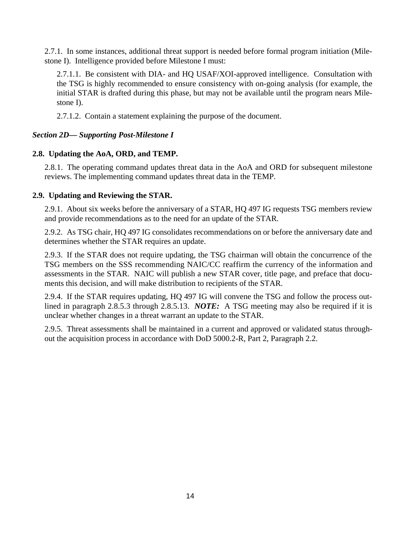2.7.1. In some instances, additional threat support is needed before formal program initiation (Milestone I). Intelligence provided before Milestone I must:

2.7.1.1. Be consistent with DIA- and HQ USAF/XOI-approved intelligence. Consultation with the TSG is highly recommended to ensure consistency with on-going analysis (for example, the initial STAR is drafted during this phase, but may not be available until the program nears Milestone I).

2.7.1.2. Contain a statement explaining the purpose of the document.

## *Section 2D— Supporting Post-Milestone I*

### **2.8. Updating the AoA, ORD, and TEMP.**

2.8.1. The operating command updates threat data in the AoA and ORD for subsequent milestone reviews. The implementing command updates threat data in the TEMP.

### **2.9. Updating and Reviewing the STAR.**

2.9.1. About six weeks before the anniversary of a STAR, HQ 497 IG requests TSG members review and provide recommendations as to the need for an update of the STAR.

2.9.2. As TSG chair, HQ 497 IG consolidates recommendations on or before the anniversary date and determines whether the STAR requires an update.

2.9.3. If the STAR does not require updating, the TSG chairman will obtain the concurrence of the TSG members on the SSS recommending NAIC/CC reaffirm the currency of the information and assessments in the STAR. NAIC will publish a new STAR cover, title page, and preface that documents this decision, and will make distribution to recipients of the STAR.

2.9.4. If the STAR requires updating, HQ 497 IG will convene the TSG and follow the process outlined in paragraph 2.8.5.3 through 2.8.5.13. *NOTE:* A TSG meeting may also be required if it is unclear whether changes in a threat warrant an update to the STAR.

2.9.5. Threat assessments shall be maintained in a current and approved or validated status throughout the acquisition process in accordance with DoD 5000.2-R, Part 2, Paragraph 2.2.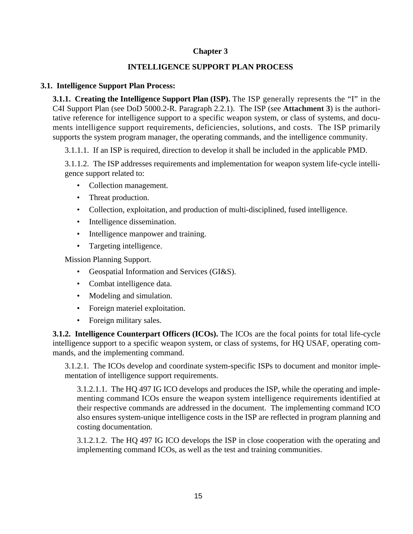# **Chapter 3**

## **INTELLIGENCE SUPPORT PLAN PROCESS**

### **3.1. Intelligence Support Plan Process:**

**3.1.1. Creating the Intelligence Support Plan (ISP).** The ISP generally represents the "I" in the C4I Support Plan (see DoD 5000.2-R. Paragraph 2.2.1). The ISP (see **[Attachment 3](#page-23-0)**) is the authoritative reference for intelligence support to a specific weapon system, or class of systems, and documents intelligence support requirements, deficiencies, solutions, and costs. The ISP primarily supports the system program manager, the operating commands, and the intelligence community.

3.1.1.1. If an ISP is required, direction to develop it shall be included in the applicable PMD.

3.1.1.2. The ISP addresses requirements and implementation for weapon system life-cycle intelligence support related to:

- Collection management.
- Threat production.
- Collection, exploitation, and production of multi-disciplined, fused intelligence.
- Intelligence dissemination.
- Intelligence manpower and training.
- Targeting intelligence.

Mission Planning Support.

- Geospatial Information and Services (GI&S).
- Combat intelligence data.
- Modeling and simulation.
- Foreign materiel exploitation.
- Foreign military sales.

**3.1.2. Intelligence Counterpart Officers (ICOs).** The ICOs are the focal points for total life-cycle intelligence support to a specific weapon system, or class of systems, for HQ USAF, operating commands, and the implementing command.

3.1.2.1. The ICOs develop and coordinate system-specific ISPs to document and monitor implementation of intelligence support requirements.

3.1.2.1.1. The HQ 497 IG ICO develops and produces the ISP, while the operating and implementing command ICOs ensure the weapon system intelligence requirements identified at their respective commands are addressed in the document. The implementing command ICO also ensures system-unique intelligence costs in the ISP are reflected in program planning and costing documentation.

3.1.2.1.2. The HQ 497 IG ICO develops the ISP in close cooperation with the operating and implementing command ICOs, as well as the test and training communities.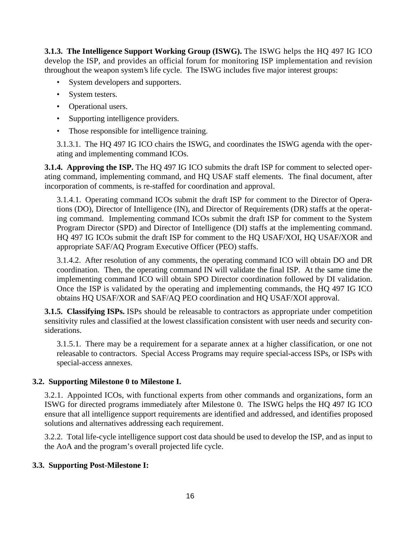**3.1.3. The Intelligence Support Working Group (ISWG).** The ISWG helps the HQ 497 IG ICO develop the ISP, and provides an official forum for monitoring ISP implementation and revision throughout the weapon system's life cycle. The ISWG includes five major interest groups:

- System developers and supporters.
- System testers.
- Operational users.
- Supporting intelligence providers.
- Those responsible for intelligence training.

3.1.3.1. The HQ 497 IG ICO chairs the ISWG, and coordinates the ISWG agenda with the operating and implementing command ICOs.

**3.1.4. Approving the ISP.** The HQ 497 IG ICO submits the draft ISP for comment to selected operating command, implementing command, and HQ USAF staff elements. The final document, after incorporation of comments, is re-staffed for coordination and approval.

3.1.4.1. Operating command ICOs submit the draft ISP for comment to the Director of Operations (DO), Director of Intelligence (IN), and Director of Requirements (DR) staffs at the operating command. Implementing command ICOs submit the draft ISP for comment to the System Program Director (SPD) and Director of Intelligence (DI) staffs at the implementing command. HQ 497 IG ICOs submit the draft ISP for comment to the HQ USAF/XOI, HQ USAF/XOR and appropriate SAF/AQ Program Executive Officer (PEO) staffs.

3.1.4.2. After resolution of any comments, the operating command ICO will obtain DO and DR coordination. Then, the operating command IN will validate the final ISP. At the same time the implementing command ICO will obtain SPO Director coordination followed by DI validation. Once the ISP is validated by the operating and implementing commands, the HQ 497 IG ICO obtains HQ USAF/XOR and SAF/AQ PEO coordination and HQ USAF/XOI approval.

**3.1.5. Classifying ISPs.** ISPs should be releasable to contractors as appropriate under competition sensitivity rules and classified at the lowest classification consistent with user needs and security considerations.

3.1.5.1. There may be a requirement for a separate annex at a higher classification, or one not releasable to contractors. Special Access Programs may require special-access ISPs, or ISPs with special-access annexes.

# **3.2. Supporting Milestone 0 to Milestone I.**

3.2.1. Appointed ICOs, with functional experts from other commands and organizations, form an ISWG for directed programs immediately after Milestone 0. The ISWG helps the HQ 497 IG ICO ensure that all intelligence support requirements are identified and addressed, and identifies proposed solutions and alternatives addressing each requirement.

3.2.2. Total life-cycle intelligence support cost data should be used to develop the ISP, and as input to the AoA and the program's overall projected life cycle.

## **3.3. Supporting Post-Milestone I:**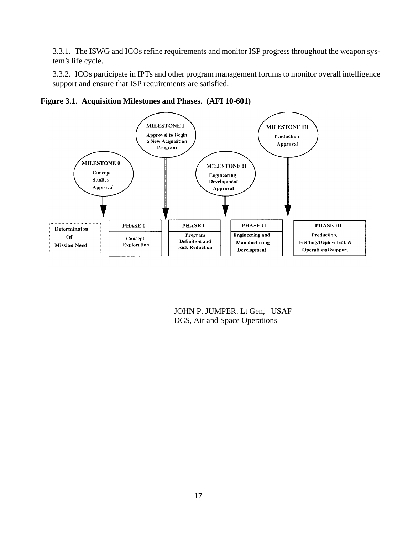3.3.1. The ISWG and ICOs refine requirements and monitor ISP progress throughout the weapon system's life cycle.

3.3.2. ICOs participate in IPTs and other program management forums to monitor overall intelligence support and ensure that ISP requirements are satisfied.



**Figure 3.1. Acquisition Milestones and Phases. (AFI 10-601)**

JOHN P. JUMPER. Lt Gen, USAF DCS, Air and Space Operations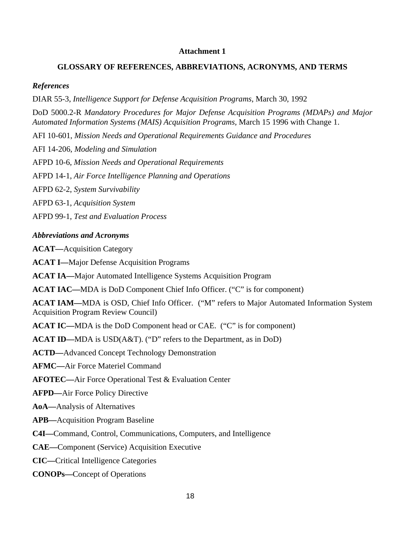#### **Attachment 1**

### <span id="page-17-0"></span>**GLOSSARY OF REFERENCES, ABBREVIATIONS, ACRONYMS, AND TERMS**

### *References*

DIAR 55-3, *Intelligence Support for Defense Acquisition Programs*, March 30, 1992

DoD 5000.2-R *Mandatory Procedures for Major Defense Acquisition Programs (MDAPs) and Major Automated Information Systems (MAIS) Acquisition Programs,* March 15 1996 with Change 1.

AFI 10-601, *Mission Needs and Operational Requirements Guidance and Procedures*

AFI 14-206, *Modeling and Simulation*

AFPD 10-6, *Mission Needs and Operational Requirements*

AFPD 14-1, *Air Force Intelligence Planning and Operations*

AFPD 62-2, *System Survivability*

AFPD 63-1, *Acquisition System*

AFPD 99-1, *Test and Evaluation Process*

### *Abbreviations and Acronyms*

**ACAT—**Acquisition Category

**ACAT I—**Major Defense Acquisition Programs

**ACAT IA—**Major Automated Intelligence Systems Acquisition Program

**ACAT IAC—**MDA is DoD Component Chief Info Officer. ("C" is for component)

**ACAT IAM—**MDA is OSD, Chief Info Officer. ("M" refers to Major Automated Information System Acquisition Program Review Council)

**ACAT IC—**MDA is the DoD Component head or CAE. ("C" is for component)

**ACAT ID—**MDA is USD(A&T). ("D" refers to the Department, as in DoD)

**ACTD—**Advanced Concept Technology Demonstration

**AFMC—**Air Force Materiel Command

**AFOTEC—**Air Force Operational Test & Evaluation Center

**AFPD—**Air Force Policy Directive

**AoA—**Analysis of Alternatives

**APB—**Acquisition Program Baseline

**C4I—**Command, Control, Communications, Computers, and Intelligence

**CAE—**Component (Service) Acquisition Executive

**CIC—**Critical Intelligence Categories

**CONOPs—**Concept of Operations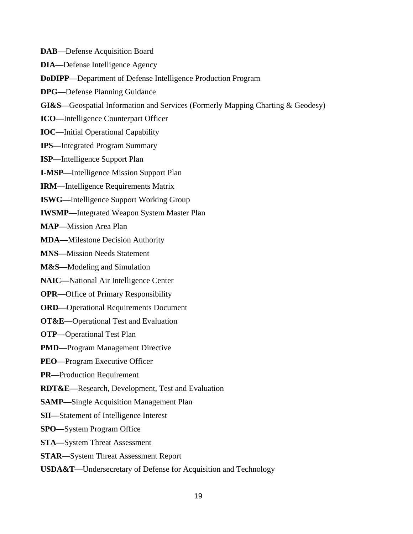**DAB—**Defense Acquisition Board

**DIA—**Defense Intelligence Agency

**DoDIPP—**Department of Defense Intelligence Production Program

**DPG—**Defense Planning Guidance

**GI&S—**Geospatial Information and Services (Formerly Mapping Charting & Geodesy)

**ICO—**Intelligence Counterpart Officer

**IOC—**Initial Operational Capability

**IPS—**Integrated Program Summary

**ISP—**Intelligence Support Plan

**I-MSP—**Intelligence Mission Support Plan

**IRM—**Intelligence Requirements Matrix

**ISWG—**Intelligence Support Working Group

**IWSMP—**Integrated Weapon System Master Plan

**MAP—**Mission Area Plan

**MDA—**Milestone Decision Authority

**MNS—**Mission Needs Statement

**M&S—**Modeling and Simulation

**NAIC—**National Air Intelligence Center

**OPR—**Office of Primary Responsibility

**ORD—**Operational Requirements Document

**OT&E—**Operational Test and Evaluation

**OTP—**Operational Test Plan

**PMD—**Program Management Directive

**PEO—**Program Executive Officer

**PR—**Production Requirement

**RDT&E—**Research, Development, Test and Evaluation

**SAMP—**Single Acquisition Management Plan

**SII—**Statement of Intelligence Interest

**SPO—**System Program Office

**STA—**System Threat Assessment

**STAR—**System Threat Assessment Report

**USDA&T—**Undersecretary of Defense for Acquisition and Technology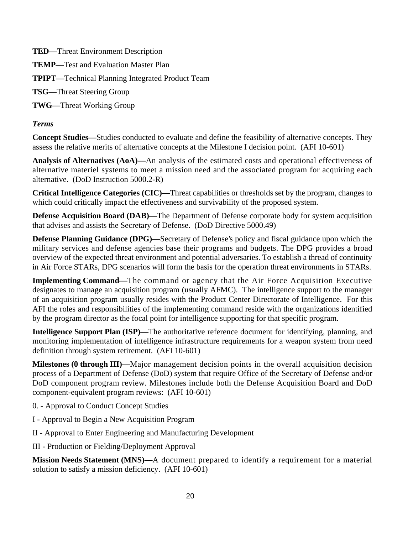**TED—**Threat Environment Description **TEMP—**Test and Evaluation Master Plan **TPIPT—**Technical Planning Integrated Product Team **TSG—**Threat Steering Group **TWG—**Threat Working Group

# *Terms*

**Concept Studies—**Studies conducted to evaluate and define the feasibility of alternative concepts. They assess the relative merits of alternative concepts at the Milestone I decision point. (AFI 10-601)

**Analysis of Alternatives (AoA)—**An analysis of the estimated costs and operational effectiveness of alternative materiel systems to meet a mission need and the associated program for acquiring each alternative. (DoD Instruction 5000.2-R)

**Critical Intelligence Categories (CIC)—**Threat capabilities or thresholds set by the program, changes to which could critically impact the effectiveness and survivability of the proposed system.

**Defense Acquisition Board (DAB)—**The Department of Defense corporate body for system acquisition that advises and assists the Secretary of Defense. (DoD Directive 5000.49)

**Defense Planning Guidance (DPG)—**Secretary of Defense's policy and fiscal guidance upon which the military services and defense agencies base their programs and budgets. The DPG provides a broad overview of the expected threat environment and potential adversaries. To establish a thread of continuity in Air Force STARs, DPG scenarios will form the basis for the operation threat environments in STARs.

**Implementing Command—**The command or agency that the Air Force Acquisition Executive designates to manage an acquisition program (usually AFMC). The intelligence support to the manager of an acquisition program usually resides with the Product Center Directorate of Intelligence. For this AFI the roles and responsibilities of the implementing command reside with the organizations identified by the program director as the focal point for intelligence supporting for that specific program.

**Intelligence Support Plan (ISP)—The authoritative reference document for identifying, planning, and** monitoring implementation of intelligence infrastructure requirements for a weapon system from need definition through system retirement. (AFI 10-601)

**Milestones (0 through III)—**Major management decision points in the overall acquisition decision process of a Department of Defense (DoD) system that require Office of the Secretary of Defense and/or DoD component program review. Milestones include both the Defense Acquisition Board and DoD component-equivalent program reviews: (AFI 10-601)

- 0. Approval to Conduct Concept Studies
- I Approval to Begin a New Acquisition Program
- II Approval to Enter Engineering and Manufacturing Development
- III Production or Fielding/Deployment Approval

**Mission Needs Statement (MNS)—**A document prepared to identify a requirement for a material solution to satisfy a mission deficiency. (AFI 10-601)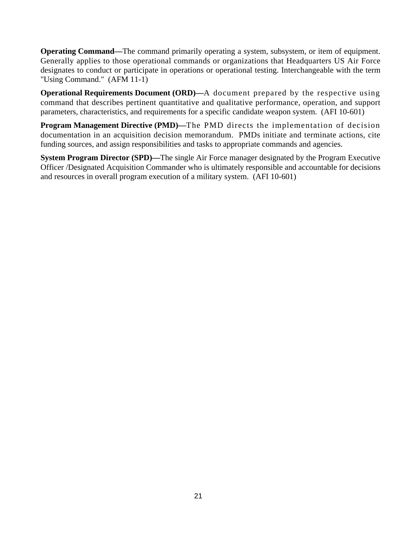**Operating Command—The command primarily operating a system, subsystem, or item of equipment.** Generally applies to those operational commands or organizations that Headquarters US Air Force designates to conduct or participate in operations or operational testing. Interchangeable with the term "Using Command." (AFM 11-1)

**Operational Requirements Document (ORD)—A** document prepared by the respective using command that describes pertinent quantitative and qualitative performance, operation, and support parameters, characteristics, and requirements for a specific candidate weapon system. (AFI 10-601)

**Program Management Directive (PMD)—**The PMD directs the implementation of decision documentation in an acquisition decision memorandum. PMDs initiate and terminate actions, cite funding sources, and assign responsibilities and tasks to appropriate commands and agencies.

**System Program Director (SPD)—**The single Air Force manager designated by the Program Executive Officer /Designated Acquisition Commander who is ultimately responsible and accountable for decisions and resources in overall program execution of a military system. (AFI 10-601)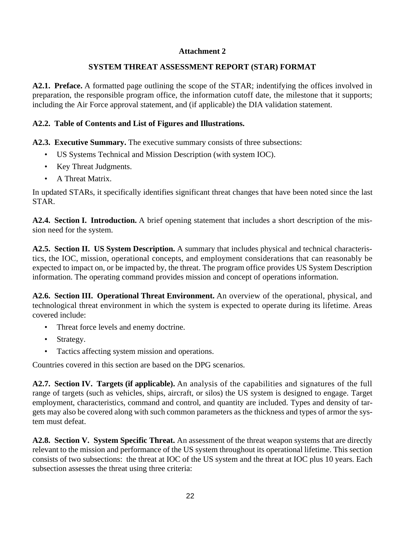## **Attachment 2**

# **SYSTEM THREAT ASSESSMENT REPORT (STAR) FORMAT**

<span id="page-21-0"></span>**A2.1. Preface.** A formatted page outlining the scope of the STAR; indentifying the offices involved in preparation, the responsible program office, the information cutoff date, the milestone that it supports; including the Air Force approval statement, and (if applicable) the DIA validation statement.

# **A2.2. Table of Contents and List of Figures and Illustrations.**

**A2.3. Executive Summary.** The executive summary consists of three subsections:

- US Systems Technical and Mission Description (with system IOC).
- Key Threat Judgments.
- A Threat Matrix.

In updated STARs, it specifically identifies significant threat changes that have been noted since the last STAR.

**A2.4. Section I. Introduction.** A brief opening statement that includes a short description of the mission need for the system.

**A2.5. Section II. US System Description.** A summary that includes physical and technical characteristics, the IOC, mission, operational concepts, and employment considerations that can reasonably be expected to impact on, or be impacted by, the threat. The program office provides US System Description information. The operating command provides mission and concept of operations information.

**A2.6. Section III. Operational Threat Environment.** An overview of the operational, physical, and technological threat environment in which the system is expected to operate during its lifetime. Areas covered include:

- Threat force levels and enemy doctrine.
- Strategy.
- Tactics affecting system mission and operations.

Countries covered in this section are based on the DPG scenarios.

**A2.7. Section IV. Targets (if applicable).** An analysis of the capabilities and signatures of the full range of targets (such as vehicles, ships, aircraft, or silos) the US system is designed to engage. Target employment, characteristics, command and control, and quantity are included. Types and density of targets may also be covered along with such common parameters as the thickness and types of armor the system must defeat.

**A2.8. Section V. System Specific Threat.** An assessment of the threat weapon systems that are directly relevant to the mission and performance of the US system throughout its operational lifetime. This section consists of two subsections: the threat at IOC of the US system and the threat at IOC plus 10 years. Each subsection assesses the threat using three criteria: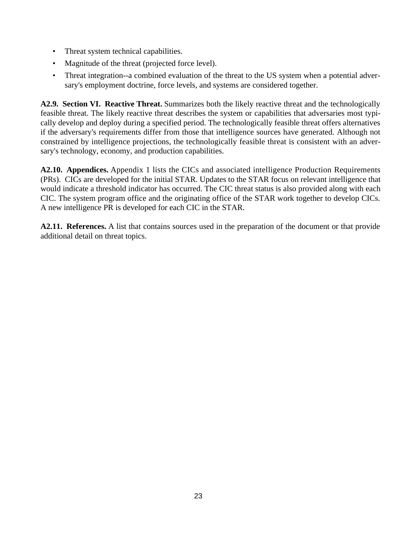- Threat system technical capabilities.
- Magnitude of the threat (projected force level).
- Threat integration--a combined evaluation of the threat to the US system when a potential adversary's employment doctrine, force levels, and systems are considered together.

**A2.9. Section VI. Reactive Threat.** Summarizes both the likely reactive threat and the technologically feasible threat. The likely reactive threat describes the system or capabilities that adversaries most typically develop and deploy during a specified period. The technologically feasible threat offers alternatives if the adversary's requirements differ from those that intelligence sources have generated. Although not constrained by intelligence projections, the technologically feasible threat is consistent with an adversary's technology, economy, and production capabilities.

**A2.10. Appendices.** Appendix 1 lists the CICs and associated intelligence Production Requirements (PRs). CICs are developed for the initial STAR. Updates to the STAR focus on relevant intelligence that would indicate a threshold indicator has occurred. The CIC threat status is also provided along with each CIC. The system program office and the originating office of the STAR work together to develop CICs. A new intelligence PR is developed for each CIC in the STAR.

**A2.11. References.** A list that contains sources used in the preparation of the document or that provide additional detail on threat topics.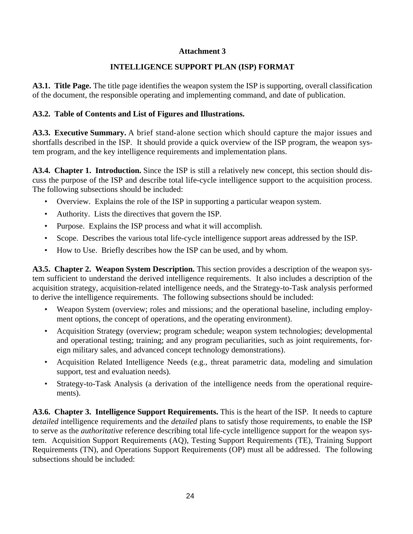### **Attachment 3**

## **INTELLIGENCE SUPPORT PLAN (ISP) FORMAT**

<span id="page-23-0"></span>**A3.1. Title Page.** The title page identifies the weapon system the ISP is supporting, overall classification of the document, the responsible operating and implementing command, and date of publication.

### **A3.2. Table of Contents and List of Figures and Illustrations.**

**A3.3. Executive Summary.** A brief stand-alone section which should capture the major issues and shortfalls described in the ISP. It should provide a quick overview of the ISP program, the weapon system program, and the key intelligence requirements and implementation plans.

**A3.4. Chapter 1. Introduction.** Since the ISP is still a relatively new concept, this section should discuss the purpose of the ISP and describe total life-cycle intelligence support to the acquisition process. The following subsections should be included:

- Overview. Explains the role of the ISP in supporting a particular weapon system.
- Authority. Lists the directives that govern the ISP.
- Purpose. Explains the ISP process and what it will accomplish.
- Scope. Describes the various total life-cycle intelligence support areas addressed by the ISP.
- How to Use. Briefly describes how the ISP can be used, and by whom.

**A3.5. Chapter 2. Weapon System Description.** This section provides a description of the weapon system sufficient to understand the derived intelligence requirements. It also includes a description of the acquisition strategy, acquisition-related intelligence needs, and the Strategy-to-Task analysis performed to derive the intelligence requirements. The following subsections should be included:

- Weapon System (overview; roles and missions; and the operational baseline, including employment options, the concept of operations, and the operating environment).
- Acquisition Strategy (overview; program schedule; weapon system technologies; developmental and operational testing; training; and any program peculiarities, such as joint requirements, foreign military sales, and advanced concept technology demonstrations).
- Acquisition Related Intelligence Needs (e.g., threat parametric data, modeling and simulation support, test and evaluation needs).
- Strategy-to-Task Analysis (a derivation of the intelligence needs from the operational requirements).

**A3.6. Chapter 3. Intelligence Support Requirements.** This is the heart of the ISP. It needs to capture *detailed* intelligence requirements and the *detailed* plans to satisfy those requirements, to enable the ISP to serve as the *authoritative* reference describing total life-cycle intelligence support for the weapon system. Acquisition Support Requirements (AQ), Testing Support Requirements (TE), Training Support Requirements (TN), and Operations Support Requirements (OP) must all be addressed. The following subsections should be included: